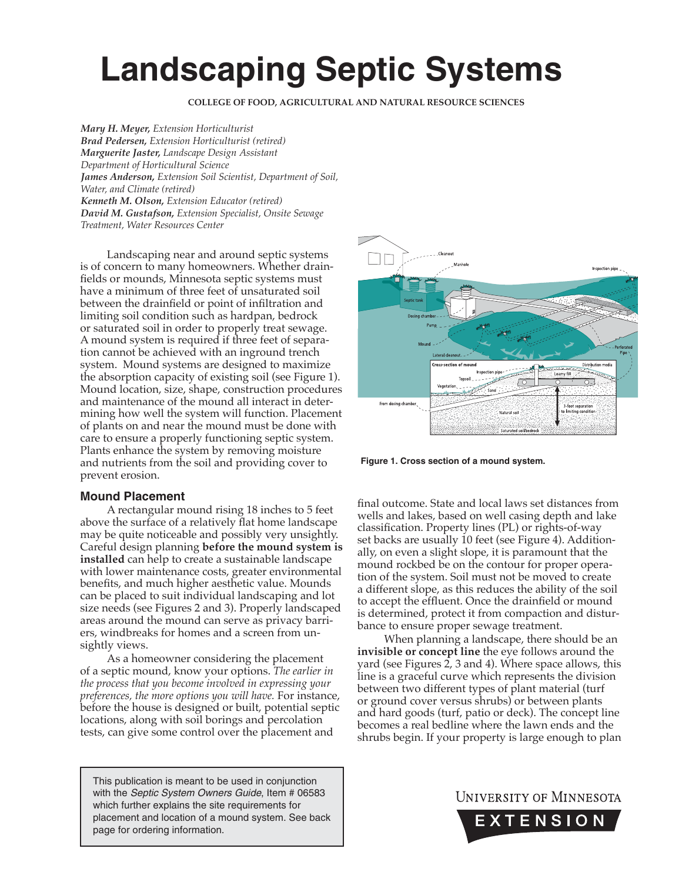# **Landscaping Septic Systems**

**COLLEGE OF FOOD, AGRICULTURAL AND NATURAL RESOURCE SCIENCES**

*Mary H. Meyer, Extension Horticulturist Brad Pedersen, Extension Horticulturist (retired) Marguerite Jaster, Landscape Design Assistant Department of Horticultural Science James Anderson, Extension Soil Scientist, Department of Soil, Water, and Climate (retired) Kenneth M. Olson, Extension Educator (retired) David M. Gustafson, Extension Specialist, Onsite Sewage Treatment, Water Resources Center*

Landscaping near and around septic systems is of concern to many homeowners. Whether drainfields or mounds, Minnesota septic systems must have a minimum of three feet of unsaturated soil between the drainfield or point of infiltration and limiting soil condition such as hardpan, bedrock or saturated soil in order to properly treat sewage. A mound system is required if three feet of separation cannot be achieved with an inground trench system. Mound systems are designed to maximize the absorption capacity of existing soil (see Figure 1). Mound location, size, shape, construction procedures and maintenance of the mound all interact in determining how well the system will function. Placement of plants on and near the mound must be done with care to ensure a properly functioning septic system. Plants enhance the system by removing moisture and nutrients from the soil and providing cover to prevent erosion.

## **Mound Placement**

A rectangular mound rising 18 inches to 5 feet above the surface of a relatively flat home landscape may be quite noticeable and possibly very unsightly. Careful design planning **before the mound system is installed** can help to create a sustainable landscape with lower maintenance costs, greater environmental benefits, and much higher aesthetic value. Mounds can be placed to suit individual landscaping and lot size needs (see Figures 2 and 3). Properly landscaped areas around the mound can serve as privacy barriers, windbreaks for homes and a screen from unsightly views.

As a homeowner considering the placement of a septic mound, know your options. *The earlier in the process that you become involved in expressing your preferences, the more options you will have.* For instance, before the house is designed or built, potential septic locations, along with soil borings and percolation tests, can give some control over the placement and

This publication is meant to be used in conjunction with the *Septic System Owners Guide*, Item # 06583 which further explains the site requirements for placement and location of a mound system. See back page for ordering information.



**Figure 1. Cross section of a mound system.** 

final outcome. State and local laws set distances from wells and lakes, based on well casing depth and lake classification. Property lines (PL) or rights-of-way set backs are usually 10 feet (see Figure 4). Additionally, on even a slight slope, it is paramount that the mound rockbed be on the contour for proper operation of the system. Soil must not be moved to create a different slope, as this reduces the ability of the soil to accept the effluent. Once the drainfield or mound is determined, protect it from compaction and disturbance to ensure proper sewage treatment.

When planning a landscape, there should be an **invisible or concept line** the eye follows around the yard (see Figures 2, 3 and 4). Where space allows, this line is a graceful curve which represents the division between two different types of plant material (turf or ground cover versus shrubs) or between plants and hard goods (turf, patio or deck). The concept line becomes a real bedline where the lawn ends and the shrubs begin. If your property is large enough to plan

## UNIVERSITY OF MINNESOTA

EXTENSION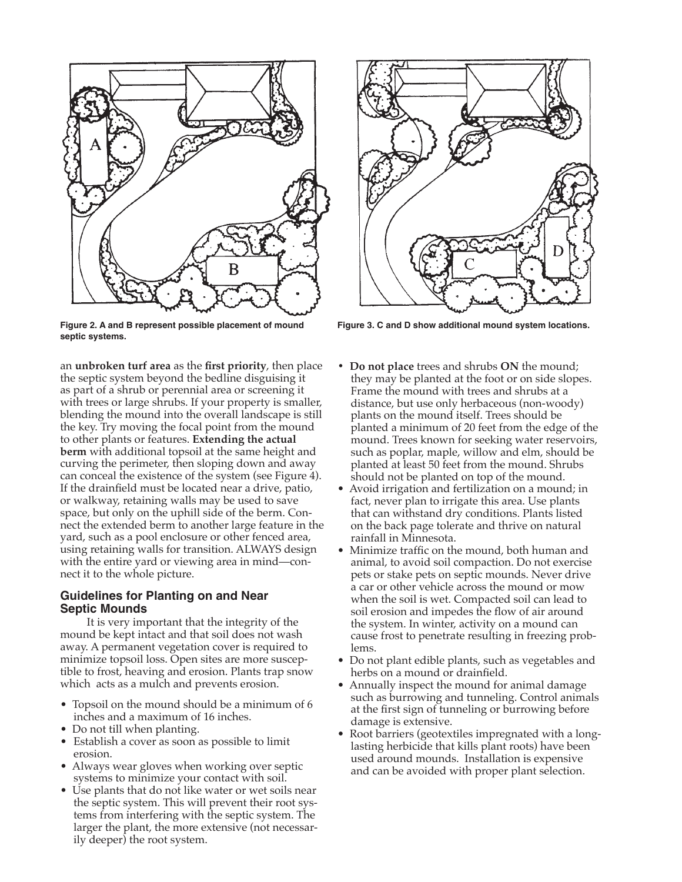

**Figure 2. A and B represent possible placement of mound septic systems.**

an **unbroken turf area** as the first priority, then place the septic system beyond the bedline disguising it as part of a shrub or perennial area or screening it with trees or large shrubs. If your property is smaller, blending the mound into the overall landscape is still the key. Try moving the focal point from the mound to other plants or features. **Extending the actual berm** with additional topsoil at the same height and curving the perimeter, then sloping down and away can conceal the existence of the system (see Figure 4). If the drainfield must be located near a drive, patio, or walkway, retaining walls may be used to save space, but only on the uphill side of the berm. Connect the extended berm to another large feature in the yard, such as a pool enclosure or other fenced area, using retaining walls for transition. ALWAYS design with the entire yard or viewing area in mind—connect it to the whole picture.

#### **Guidelines for Planting on and Near Septic Mounds**

It is very important that the integrity of the mound be kept intact and that soil does not wash away. A permanent vegetation cover is required to minimize topsoil loss. Open sites are more susceptible to frost, heaving and erosion. Plants trap snow which acts as a mulch and prevents erosion.

- Topsoil on the mound should be a minimum of 6 inches and a maximum of 16 inches.
- Do not till when planting.
- Establish a cover as soon as possible to limit erosion.
- Always wear gloves when working over septic systems to minimize your contact with soil.
- Use plants that do not like water or wet soils near the septic system. This will prevent their root systems from interfering with the septic system. The larger the plant, the more extensive (not necessarily deeper) the root system.



**Figure 3. C and D show additional mound system locations.**

- **Do not place** trees and shrubs **ON** the mound; they may be planted at the foot or on side slopes. Frame the mound with trees and shrubs at a distance, but use only herbaceous (non-woody) plants on the mound itself. Trees should be planted a minimum of 20 feet from the edge of the mound. Trees known for seeking water reservoirs, such as poplar, maple, willow and elm, should be planted at least 50 feet from the mound. Shrubs should not be planted on top of the mound.
- Avoid irrigation and fertilization on a mound; in fact, never plan to irrigate this area. Use plants that can withstand dry conditions. Plants listed on the back page tolerate and thrive on natural rainfall in Minnesota.
- Minimize traffic on the mound, both human and animal, to avoid soil compaction. Do not exercise pets or stake pets on septic mounds. Never drive a car or other vehicle across the mound or mow when the soil is wet. Compacted soil can lead to soil erosion and impedes the flow of air around the system. In winter, activity on a mound can cause frost to penetrate resulting in freezing problems.
- Do not plant edible plants, such as vegetables and herbs on a mound or drainfield.
- Annually inspect the mound for animal damage such as burrowing and tunneling. Control animals at the first sign of tunneling or burrowing before damage is extensive.
- Root barriers (geotextiles impregnated with a longlasting herbicide that kills plant roots) have been used around mounds. Installation is expensive and can be avoided with proper plant selection.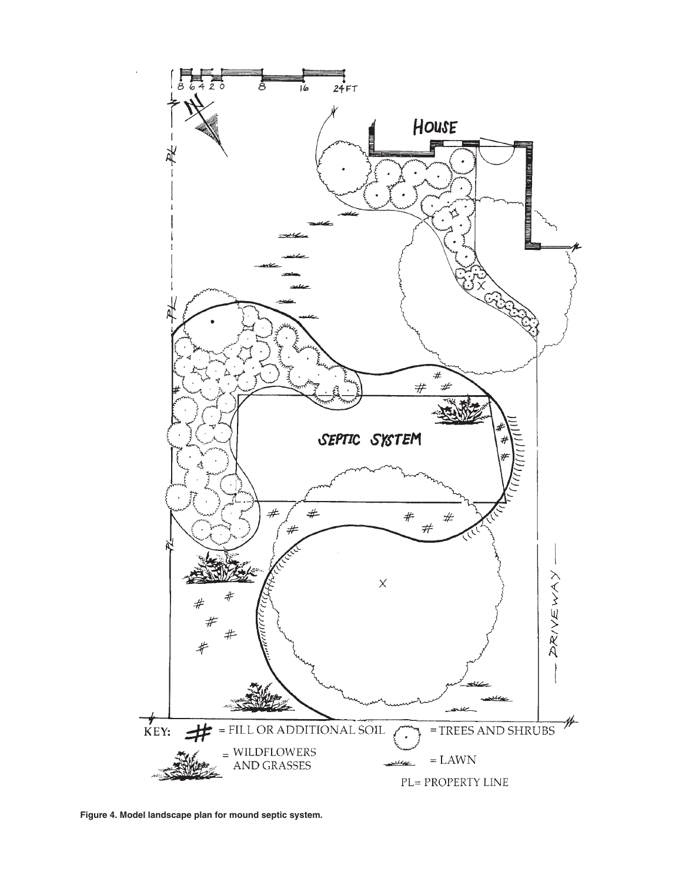

**Figure 4. Model landscape plan for mound septic system.**